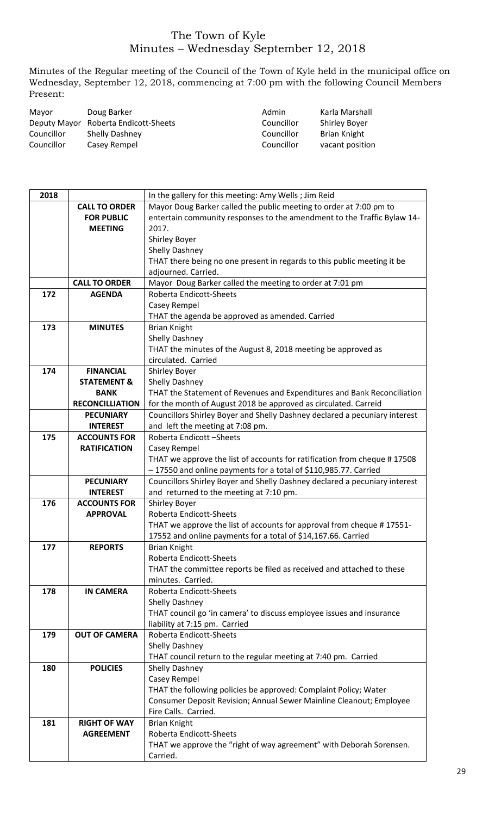## The Town of Kyle Minutes – Wednesday September 12, 2018

Minutes of the Regular meeting of the Council of the Town of Kyle held in the municipal office on Wednesday, September 12, 2018, commencing at 7:00 pm with the following Council Members Present:

| Mayor      | Doug Barker                          | Admin      | Karla Marshall       |
|------------|--------------------------------------|------------|----------------------|
|            | Deputy Mayor Roberta Endicott-Sheets | Councillor | <b>Shirley Boyer</b> |
| Councillor | <b>Shelly Dashney</b>                | Councillor | Brian Knight         |
| Councillor | Casey Rempel                         | Councillor | vacant position      |

| 2018 |                        | In the gallery for this meeting: Amy Wells; Jim Reid                                 |
|------|------------------------|--------------------------------------------------------------------------------------|
|      | <b>CALL TO ORDER</b>   | Mayor Doug Barker called the public meeting to order at 7:00 pm to                   |
|      | <b>FOR PUBLIC</b>      | entertain community responses to the amendment to the Traffic Bylaw 14-              |
|      | <b>MEETING</b>         | 2017.                                                                                |
|      |                        | Shirley Boyer                                                                        |
|      |                        | Shelly Dashney                                                                       |
|      |                        | THAT there being no one present in regards to this public meeting it be              |
|      |                        | adjourned. Carried.                                                                  |
|      | <b>CALL TO ORDER</b>   | Mayor Doug Barker called the meeting to order at 7:01 pm                             |
| 172  |                        | Roberta Endicott-Sheets                                                              |
|      | <b>AGENDA</b>          |                                                                                      |
|      |                        | Casey Rempel                                                                         |
|      |                        | THAT the agenda be approved as amended. Carried                                      |
| 173  | <b>MINUTES</b>         | <b>Brian Knight</b>                                                                  |
|      |                        | Shelly Dashney                                                                       |
|      |                        | THAT the minutes of the August 8, 2018 meeting be approved as                        |
|      |                        | circulated. Carried                                                                  |
| 174  | <b>FINANCIAL</b>       | Shirley Boyer                                                                        |
|      | <b>STATEMENT &amp;</b> | Shelly Dashney                                                                       |
|      | <b>BANK</b>            | THAT the Statement of Revenues and Expenditures and Bank Reconciliation              |
|      | <b>RECONCILLIATION</b> | for the month of August 2018 be approved as circulated. Carreid                      |
|      | <b>PECUNIARY</b>       | Councillors Shirley Boyer and Shelly Dashney declared a pecuniary interest           |
|      | <b>INTEREST</b>        | and left the meeting at 7:08 pm.                                                     |
| 175  | <b>ACCOUNTS FOR</b>    | Roberta Endicott-Sheets                                                              |
|      | <b>RATIFICATION</b>    | Casey Rempel                                                                         |
|      |                        | THAT we approve the list of accounts for ratification from cheque #17508             |
|      |                        | -17550 and online payments for a total of \$110,985.77. Carried                      |
|      | <b>PECUNIARY</b>       | Councillors Shirley Boyer and Shelly Dashney declared a pecuniary interest           |
|      |                        |                                                                                      |
|      | <b>INTEREST</b>        | and returned to the meeting at 7:10 pm.                                              |
| 176  | <b>ACCOUNTS FOR</b>    | Shirley Boyer                                                                        |
|      | <b>APPROVAL</b>        | Roberta Endicott-Sheets                                                              |
|      |                        | THAT we approve the list of accounts for approval from cheque #17551-                |
|      |                        |                                                                                      |
| 177  | <b>REPORTS</b>         | 17552 and online payments for a total of \$14,167.66. Carried<br><b>Brian Knight</b> |
|      |                        | Roberta Endicott-Sheets                                                              |
|      |                        |                                                                                      |
|      |                        | THAT the committee reports be filed as received and attached to these                |
|      |                        | minutes. Carried.                                                                    |
| 178  | <b>IN CAMERA</b>       | Roberta Endicott-Sheets                                                              |
|      |                        | Shelly Dashney                                                                       |
|      |                        | THAT council go 'in camera' to discuss employee issues and insurance                 |
|      |                        | liability at 7:15 pm. Carried                                                        |
| 179  | <b>OUT OF CAMERA</b>   | Roberta Endicott-Sheets                                                              |
|      |                        | Shelly Dashney                                                                       |
|      |                        | THAT council return to the regular meeting at 7:40 pm. Carried                       |
| 180  | <b>POLICIES</b>        | Shelly Dashney                                                                       |
|      |                        | Casey Rempel                                                                         |
|      |                        | THAT the following policies be approved: Complaint Policy; Water                     |
|      |                        | Consumer Deposit Revision; Annual Sewer Mainline Cleanout; Employee                  |
|      |                        | Fire Calls. Carried.                                                                 |
| 181  | <b>RIGHT OF WAY</b>    | <b>Brian Knight</b>                                                                  |
|      | <b>AGREEMENT</b>       | Roberta Endicott-Sheets                                                              |
|      |                        | THAT we approve the "right of way agreement" with Deborah Sorensen.                  |